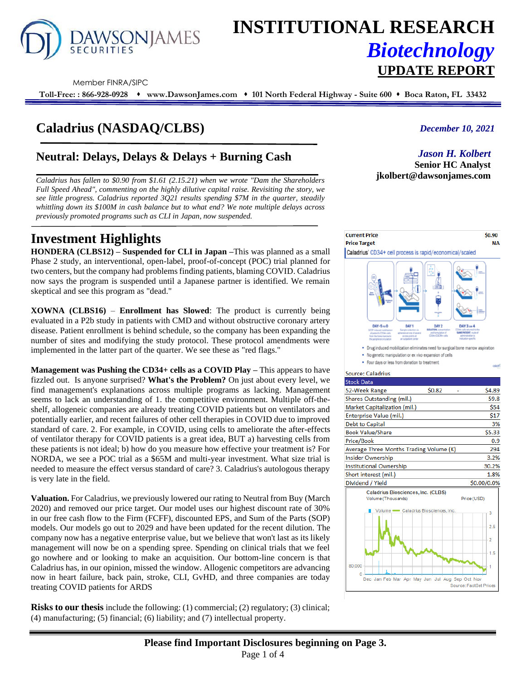

# **INSTITUTIONAL RESEARCH** *Biotechnology* **UPDATE REPORT**

Member FINRA/SIPC

**Toll-Free: : 866-928-0928** ⬧ **www.DawsonJames.com** ⬧ **101 North Federal Highway - Suite 600** ⬧ **Boca Raton, FL 33432**

## **Caladrius (NASDAQ/CLBS)**

### **Neutral: Delays, Delays & Delays + Burning Cash**

*Caladrius has fallen to \$0.90 from \$1.61 (2.15.21) when we wrote "Dam the Shareholders Full Speed Ahead", commenting on the highly dilutive capital raise. Revisiting the story, we see little progress. Caladrius reported 3Q21 results spending \$7M in the quarter, steadily whittling down its \$100M in cash balance but to what end? We note multiple delays across previously promoted programs such as CLI in Japan, now suspended.*

### **Investment Highlights**

**HONDERA (CLBS12) – Suspended for CLI in Japan –**This was planned as a small Phase 2 study, an interventional, open-label, proof-of-concept (POC) trial planned for two centers, but the company had problems finding patients, blaming COVID. Caladrius now says the program is suspended until a Japanese partner is identified. We remain skeptical and see this program as "dead."

**XOWNA (CLBS16)** – **Enrollment has Slowed**: The product is currently being evaluated in a P2b study in patients with CMD and without obstructive coronary artery disease. Patient enrollment is behind schedule, so the company has been expanding the number of sites and modifying the study protocol. These protocol amendments were implemented in the latter part of the quarter. We see these as "red flags."

**Management was Pushing the CD34+ cells as a COVID Play –** This appears to have fizzled out. Is anyone surprised? **What's the Problem?** On just about every level, we find management's explanations across multiple programs as lacking. Management seems to lack an understanding of 1. the competitive environment. Multiple off-theshelf, allogeneic companies are already treating COVID patients but on ventilators and potentially earlier, and recent failures of other cell therapies in COVID due to improved standard of care. 2. For example, in COVID, using cells to ameliorate the after-effects of ventilator therapy for COVID patients is a great idea, BUT a) harvesting cells from these patients is not ideal; b) how do you measure how effective your treatment is? For NORDA, we see a POC trial as a \$65M and multi-year investment. What size trial is needed to measure the effect versus standard of care? 3. Caladrius's autologous therapy is very late in the field.

**Valuation.** For Caladrius, we previously lowered our rating to Neutral from Buy (March 2020) and removed our price target. Our model uses our highest discount rate of 30% in our free cash flow to the Firm (FCFF), discounted EPS, and Sum of the Parts (SOP) models. Our models go out to 2029 and have been updated for the recent dilution. The company now has a negative enterprise value, but we believe that won't last as its likely management will now be on a spending spree. Spending on clinical trials that we feel go nowhere and or looking to make an acquisition. Our bottom-line concern is that Caladrius has, in our opinion, missed the window. Allogenic competitors are advancing now in heart failure, back pain, stroke, CLI, GvHD, and three companies are today treating COVID patients for ARDS

**Risks to our thesis** include the following: (1) commercial; (2) regulatory; (3) clinical; (4) manufacturing; (5) financial; (6) liability; and (7) intellectual property.

#### *December 10, 2021*

#### *Jason H. Kolbert*

**Senior HC Analyst jkolbert@dawsonjames.com**

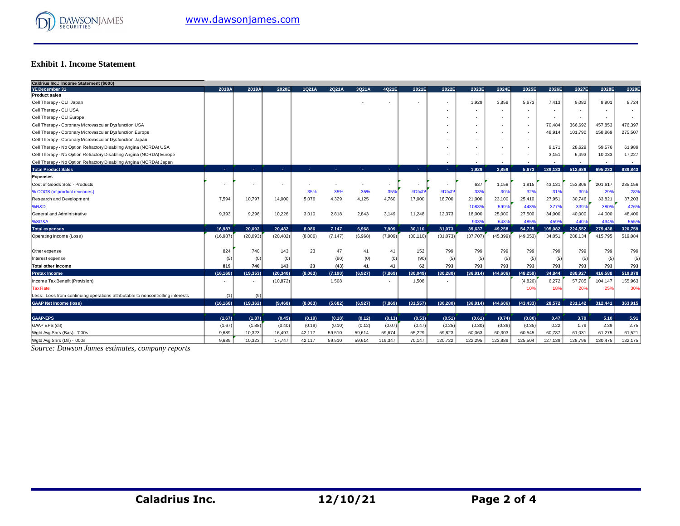

#### **Exhibit 1. Income Statement**

| Caldrius Inc.: Income Statement (\$000)                                        |           |                |           |         |          |         |         |           |           |           |           |           |                          |         |                          |         |
|--------------------------------------------------------------------------------|-----------|----------------|-----------|---------|----------|---------|---------|-----------|-----------|-----------|-----------|-----------|--------------------------|---------|--------------------------|---------|
| <b>YE December 31</b>                                                          | 2018A     | 2019A          | 2020E     | 1Q21A   | 2Q21A    | 3Q21A   | 4Q21E   | 2021E     | 2022E     | 2023E     | 2024E     | 2025E     | 2026E                    | 2027E   | 2028E                    | 2029E   |
| <b>Product sales</b>                                                           |           |                |           |         |          |         |         |           |           |           |           |           |                          |         |                          |         |
| Cell Therapy - CLI Japan                                                       |           |                |           |         |          |         |         |           |           | 1,929     | 3,859     | 5,673     | 7,413                    | 9.082   | 8,901                    | 8,724   |
| Cell Therapy - CLI USA                                                         |           |                |           |         |          |         |         |           |           |           |           |           |                          |         |                          |         |
| Cell Therapy - CLI Europe                                                      |           |                |           |         |          |         |         |           |           | $\sim$    |           |           | $\overline{\phantom{a}}$ | $\sim$  | $\overline{\phantom{a}}$ |         |
| Cell Therapy - Coronary Microvascular Dysfunction USA                          |           |                |           |         |          |         |         |           |           | $\sim$    | ٠         |           | 70,484                   | 366,692 | 457,853                  | 476,397 |
| Cell Therapy - Coronary Microvascular Dysfunction Europe                       |           |                |           |         |          |         |         |           |           |           |           |           | 48,914                   | 101,790 | 158,869                  | 275,507 |
| Cell Therapy - Coronary Microvascular Dysfunction Japan                        |           |                |           |         |          |         |         |           |           |           |           |           |                          | ۰.      | $\overline{\phantom{a}}$ |         |
| Cell Therapy - No Option Refractory Disabling Angina (NORDA) USA               |           |                |           |         |          |         |         |           |           |           |           |           | 9,171                    | 28,629  | 59,576                   | 61,989  |
| Cell Therapy - No Option Refractory Disabling Angina (NORDA) Europe            |           |                |           |         |          |         |         |           |           |           |           |           | 3,151                    | 6,493   | 10,033                   | 17,227  |
| Cell Therapy - No Option Refractory Disabling Angina (NORDA) Japan             |           |                |           |         |          |         |         |           |           |           |           |           |                          |         |                          |         |
| <b>Total Product Sales</b>                                                     | х.        | <b>Section</b> | х.        |         |          |         | х.      | п.        | ÷.        | 1.929     | 3.859     | 5.673     | 139.133                  | 512.686 | 695.233                  | 839.843 |
| <b>Expenses</b>                                                                |           |                |           |         |          |         |         |           |           |           |           |           |                          |         |                          |         |
| Cost of Goods Sold - Products                                                  |           |                |           |         |          |         | $\sim$  |           |           | 637       | 1,158     | 1,815     | 43,131                   | 153,806 | 201,617                  | 235,156 |
| % COGS (of product revenues)                                                   |           |                |           | 35%     | 35%      | 35%     | 35%     | #DIV/0    | #DIV/0    | 33%       | 30%       | 32%       | 319                      | 309     | 29%                      | 28%     |
| <b>Research and Development</b>                                                | 7,594     | 10,797         | 14,000    | 5,076   | 4,329    | 4,125   | 4,760   | 17,000    | 18,700    | 21,000    | 23,100    | 25,410    | 27,951                   | 30,746  | 33,821                   | 37,203  |
| <b>%R&amp;D</b>                                                                |           |                |           |         |          |         |         |           |           | 10889     | 5999      | 448%      | 3779                     | 3399    | 380%                     | 426%    |
| General and Administrative                                                     | 9,393     | 9,296          | 10,226    | 3,010   | 2,818    | 2,843   | 3,149   | 11,248    | 12,373    | 18,000    | 25,000    | 27,500    | 34,000                   | 40,000  | 44,000                   | 48,400  |
| %SG&A                                                                          |           |                |           |         |          |         |         |           |           | 9339      | 648       | 485%      | 4599                     | 440%    | 494%                     | 555%    |
| <b>Total expenses</b>                                                          | 16.987    | 20.093         | 20.482    | 8.086   | 7.147    | 6.968   | 7,909   | 30,110    | 31,073    | 39,637    | 49.258    | 54.725    | 105,082                  | 224.552 | 279,438                  | 320,759 |
| Operating Income (Loss)                                                        | (16, 987) | (20,093)       | (20, 482) | (8,086) | (7, 147) | (6,968) | (7,909) | (30, 110) | (31, 073) | (37, 707) | (45, 399) | (49, 053) | 34,051                   | 288,134 | 415,795                  | 519,084 |
|                                                                                |           |                |           |         |          |         |         |           |           |           |           |           |                          |         |                          |         |
| Other expense                                                                  | 824       | 740            | 143       | 23      | 47       | 41      | 41      | 152       | 799       | 799       | 799       | 799       | 799                      | 799     | 799                      | 799     |
| Interest expense                                                               | (5)       | (0)            | (0)       |         | (90)     | (0)     | (0)     | (90)      | (5)       | (5)       | (5)       | (5)       | (5)                      | (5)     | (5)                      | (5)     |
| <b>Total other income</b>                                                      | 819       | 740            | 143       | 23      | (43)     | 41      | 41      | 62        | 793       | 793       | 793       | 793       | 793                      | 793     | 793                      | 793     |
| <b>Pretax Income</b>                                                           | (16, 168) | (19, 353)      | (20, 340) | (8,063) | (7, 190) | (6.927) | (7,869) | (30, 049) | (30.280)  | (36,914)  | (44, 606) | (48.259)  | 34.844                   | 288.927 | 416.588                  | 519,878 |
| Income Tax Benefit (Provision)                                                 |           |                | (10, 872) |         | 1,508    |         |         | 1,508     |           |           |           | (4,826)   | 6,272                    | 57,785  | 104,147                  | 155,963 |
| <b>Tax Rate</b>                                                                |           |                |           |         |          |         |         |           |           |           |           | 10%       | 18%                      | 20%     | 25%                      | 30%     |
| Less: Loss from continuing operations attributable to noncontrolling interests |           | (9)            |           |         |          |         |         |           |           |           |           |           |                          |         |                          |         |
| <b>GAAP Net Income (loss)</b>                                                  | (16, 168) | (19, 362)      | (9,468)   | (8,063) | (5.682)  | (6,927) | (7,869) | (31, 557) | (30.280)  | (36,914)  | (44, 606) | (43.433)  | 28.572                   | 231,142 | 312,441                  | 363.915 |
|                                                                                |           |                |           |         |          |         |         |           |           |           |           |           |                          |         |                          |         |
| <b>GAAP-EPS</b>                                                                | (1.67)    | (1.87)         | (0.45)    | (0.19)  | (0.10)   | (0.12)  | (0.13)  | (0.53)    | (0.51)    | (0.61)    | (0.74)    | (0.80)    | 0.47                     | 3.79    | 5.10                     | 5.91    |
| GAAP EPS (dil)                                                                 | (1.67)    | (1.88)         | (0.40)    | (0.19)  | (0.10)   | (0.12)  | (0.07)  | (0.47)    | (0.25)    | (0.30)    | (0.36)    | (0.35)    | 0.22                     | 1.79    | 2.39                     | 2.75    |
| Wgtd Avg Shrs (Bas) - '000s                                                    | 9.689     | 10.323         | 16,497    | 42,117  | 59.510   | 59,614  | 59,674  | 55,229    | 59.823    | 60,063    | 60,303    | 60,545    | 60,787                   | 61,031  | 61,275                   | 61,521  |
| Watd Ava Shrs (Dil) - '000s                                                    | 9.689     | 10.323         | 17.747    | 42.117  | 59.510   | 59.614  | 119.347 | 70.147    | 120.722   | 122.295   | 123.889   | 125.504   | 127.139                  | 128,796 | 130.475                  | 132.175 |

*Source: Dawson James estimates, company reports*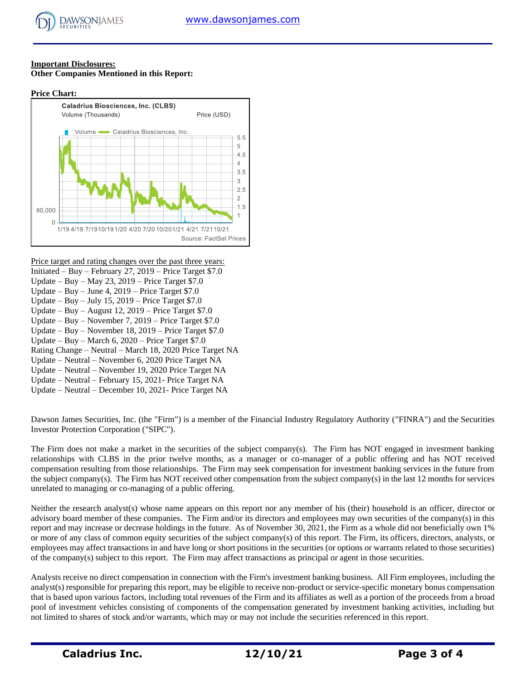#### **Important Disclosures: Other Companies Mentioned in this Report:**

#### **Price Chart:**



#### Price target and rating changes over the past three years:

- Initiated Buy February 27, 2019 Price Target \$7.0 Update – Buy – May 23, 2019 – Price Target \$7.0 Update – Buy – June 4, 2019 – Price Target \$7.0 Update – Buy – July 15, 2019 – Price Target  $$7.0$ Update – Buy – August 12, 2019 – Price Target \$7.0 Update – Buy – November 7, 2019 – Price Target \$7.0 Update – Buy – November 18, 2019 – Price Target \$7.0 Update – Buy – March 6, 2020 – Price Target \$7.0 Rating Change – Neutral – March 18, 2020 Price Target NA Update – Neutral – November 6, 2020 Price Target NA Update – Neutral – November 19, 2020 Price Target NA Update – Neutral – February 15, 2021- Price Target NA
- Update Neutral December 10, 2021- Price Target NA

Dawson James Securities, Inc. (the "Firm") is a member of the Financial Industry Regulatory Authority ("FINRA") and the Securities Investor Protection Corporation ("SIPC").

The Firm does not make a market in the securities of the subject company(s). The Firm has NOT engaged in investment banking relationships with CLBS in the prior twelve months, as a manager or co-manager of a public offering and has NOT received compensation resulting from those relationships. The Firm may seek compensation for investment banking services in the future from the subject company(s). The Firm has NOT received other compensation from the subject company(s) in the last 12 months for services unrelated to managing or co-managing of a public offering.

Neither the research analyst(s) whose name appears on this report nor any member of his (their) household is an officer, director or advisory board member of these companies. The Firm and/or its directors and employees may own securities of the company(s) in this report and may increase or decrease holdings in the future. As of November 30, 2021, the Firm as a whole did not beneficially own 1% or more of any class of common equity securities of the subject company(s) of this report. The Firm, its officers, directors, analysts, or employees may affect transactions in and have long or short positions in the securities (or options or warrants related to those securities) of the company(s) subject to this report. The Firm may affect transactions as principal or agent in those securities.

Analysts receive no direct compensation in connection with the Firm's investment banking business. All Firm employees, including the analyst(s) responsible for preparing this report, may be eligible to receive non-product or service-specific monetary bonus compensation that is based upon various factors, including total revenues of the Firm and its affiliates as well as a portion of the proceeds from a broad pool of investment vehicles consisting of components of the compensation generated by investment banking activities, including but not limited to shares of stock and/or warrants, which may or may not include the securities referenced in this report.